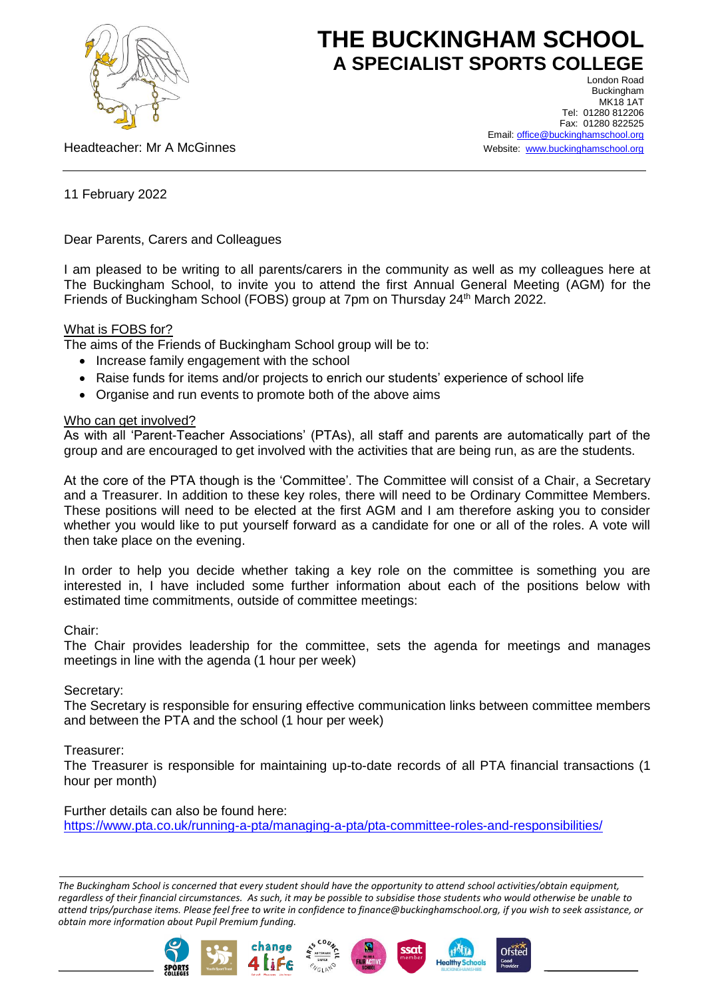

# **THE BUCKINGHAM SCHOOL A SPECIALIST SPORTS COLLEGE** London Road

Headteacher: Mr A McGinnes

Buckingham **MK18 1AT** Tel: 01280 812206 Fax: 01280 822525 Email: [office@buckinghamschool.org](mailto:office@buckinghamschool.org) Website: [www.buckinghamschool.org](http://www.buckinghamschool.org/)

11 February 2022

Dear Parents, Carers and Colleagues

I am pleased to be writing to all parents/carers in the community as well as my colleagues here at The Buckingham School, to invite you to attend the first Annual General Meeting (AGM) for the Friends of Buckingham School (FOBS) group at 7pm on Thursday 24<sup>th</sup> March 2022.

## What is FOBS for?

The aims of the Friends of Buckingham School group will be to:

- Increase family engagement with the school
- Raise funds for items and/or projects to enrich our students' experience of school life
- Organise and run events to promote both of the above aims

## Who can get involved?

As with all 'Parent-Teacher Associations' (PTAs), all staff and parents are automatically part of the group and are encouraged to get involved with the activities that are being run, as are the students.

At the core of the PTA though is the 'Committee'. The Committee will consist of a Chair, a Secretary and a Treasurer. In addition to these key roles, there will need to be Ordinary Committee Members. These positions will need to be elected at the first AGM and I am therefore asking you to consider whether you would like to put yourself forward as a candidate for one or all of the roles. A vote will then take place on the evening.

In order to help you decide whether taking a key role on the committee is something you are interested in, I have included some further information about each of the positions below with estimated time commitments, outside of committee meetings:

#### Chair:

The Chair provides leadership for the committee, sets the agenda for meetings and manages meetings in line with the agenda (1 hour per week)

# Secretary:

The Secretary is responsible for ensuring effective communication links between committee members and between the PTA and the school (1 hour per week)

# Treasurer:

The Treasurer is responsible for maintaining up-to-date records of all PTA financial transactions (1 hour per month)

# Further details can also be found here:

<https://www.pta.co.uk/running-a-pta/managing-a-pta/pta-committee-roles-and-responsibilities/>

*The Buckingham School is concerned that every student should have the opportunity to attend school activities/obtain equipment, regardless of their financial circumstances. As such, it may be possible to subsidise those students who would otherwise be unable to attend trips/purchase items. Please feel free to write in confidence to finance@buckinghamschool.org, if you wish to seek assistance, or obtain more information about Pupil Premium funding.*